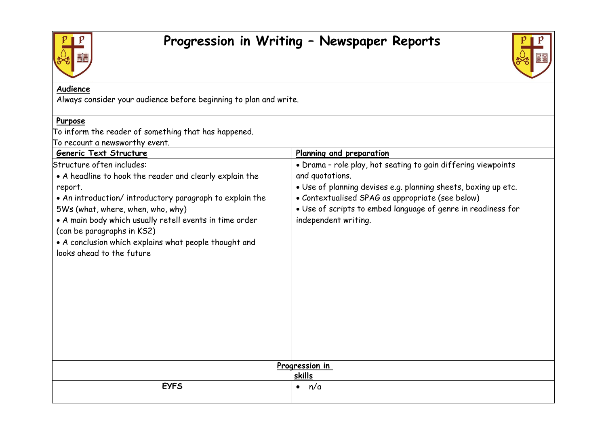



## **Audience**

Always consider your audience before beginning to plan and write.

## **Purpose**

To inform the reader of something that has happened.

To recount a newsworthy event.

| Generic Text Structure                                  | Planning and preparation                                       |
|---------------------------------------------------------|----------------------------------------------------------------|
| Structure often includes:                               | . Drama - role play, hot seating to gain differing viewpoints  |
| • A headline to hook the reader and clearly explain the | and quotations.                                                |
| report.                                                 | . Use of planning devises e.g. planning sheets, boxing up etc. |
| • An introduction/introductory paragraph to explain the | • Contextualised SPAG as appropriate (see below)               |
| 5Ws (what, where, when, who, why)                       | . Use of scripts to embed language of genre in readiness for   |
| • A main body which usually retell events in time order | independent writing.                                           |
| (can be paragraphs in KS2)                              |                                                                |
| • A conclusion which explains what people thought and   |                                                                |
| looks ahead to the future                               |                                                                |
|                                                         |                                                                |
|                                                         |                                                                |
|                                                         |                                                                |
|                                                         |                                                                |
|                                                         |                                                                |
|                                                         |                                                                |
|                                                         |                                                                |
|                                                         |                                                                |
|                                                         |                                                                |
| Progression in                                          |                                                                |
|                                                         | skills                                                         |
| <b>EYFS</b>                                             | n/a<br>$\bullet$                                               |
|                                                         |                                                                |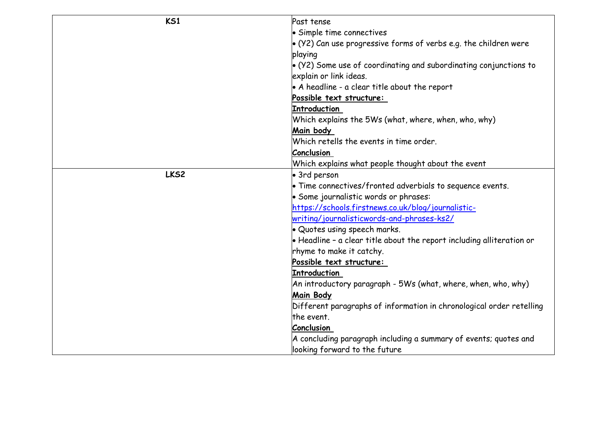| K <sub>51</sub> | Past tense                                                                    |
|-----------------|-------------------------------------------------------------------------------|
|                 | • Simple time connectives                                                     |
|                 | $\bullet$ (Y2) Can use progressive forms of verbs e.g. the children were      |
|                 | playing                                                                       |
|                 | $\bullet$ (Y2) Some use of coordinating and subordinating conjunctions to     |
|                 | explain or link ideas.                                                        |
|                 | $\bullet$ A headline - a clear title about the report                         |
|                 | Possible text structure:                                                      |
|                 | <b>Introduction</b>                                                           |
|                 | Which explains the 5Ws (what, where, when, who, why)                          |
|                 | Main body                                                                     |
|                 | Which retells the events in time order.                                       |
|                 | <b>Conclusion</b>                                                             |
|                 | Which explains what people thought about the event                            |
| LKS2            | • 3rd person                                                                  |
|                 | • Time connectives/fronted adverbials to sequence events.                     |
|                 | • Some journalistic words or phrases:                                         |
|                 | https://schools.firstnews.co.uk/blog/journalistic-                            |
|                 | writing/journalisticwords-and-phrases-ks2/                                    |
|                 | Quotes using speech marks.                                                    |
|                 | $\bullet$ Headline - a clear title about the report including alliteration or |
|                 | rhyme to make it catchy.                                                      |
|                 | Possible text structure:                                                      |
|                 | <b>Introduction</b>                                                           |
|                 | An introductory paragraph - 5Ws (what, where, when, who, why)                 |
|                 | <b>Main Body</b>                                                              |
|                 | Different paragraphs of information in chronological order retelling          |
|                 | the event.                                                                    |
|                 | Conclusion                                                                    |
|                 | A concluding paragraph including a summary of events; quotes and              |
|                 | looking forward to the future                                                 |